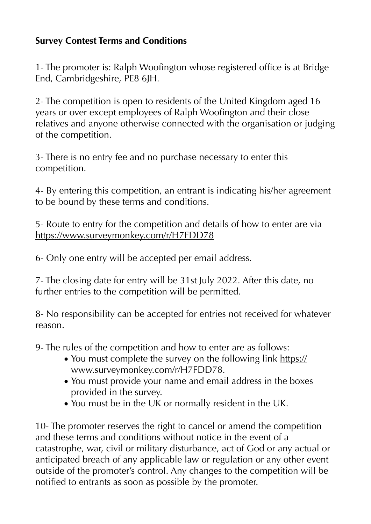## **Survey Contest Terms and Conditions**

1- The promoter is: Ralph Woofington whose registered office is at Bridge End, Cambridgeshire, PE8 6JH.

2- The competition is open to residents of the United Kingdom aged 16 years or over except employees of Ralph Woofington and their close relatives and anyone otherwise connected with the organisation or judging of the competition.

3- There is no entry fee and no purchase necessary to enter this competition.

4- By entering this competition, an entrant is indicating his/her agreement to be bound by these terms and conditions.

5- Route to entry for the competition and details of how to enter are via <https://www.surveymonkey.com/r/H7FDD78>

6- Only one entry will be accepted per email address.

7- The closing date for entry will be 31st July 2022. After this date, no further entries to the competition will be permitted.

8- No responsibility can be accepted for entries not received for whatever reason.

9- The rules of the competition and how to enter are as follows:

- You must complete the survey on the following link [https://](https://www.surveymonkey.com/r/H7FDD78) [www.surveymonkey.com/r/H7FDD78](https://www.surveymonkey.com/r/H7FDD78).
- You must provide your name and email address in the boxes provided in the survey.
- You must be in the UK or normally resident in the UK.

10- The promoter reserves the right to cancel or amend the competition and these terms and conditions without notice in the event of a catastrophe, war, civil or military disturbance, act of God or any actual or anticipated breach of any applicable law or regulation or any other event outside of the promoter's control. Any changes to the competition will be notified to entrants as soon as possible by the promoter.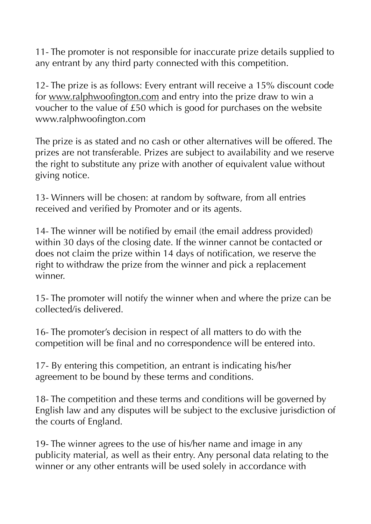11- The promoter is not responsible for inaccurate prize details supplied to any entrant by any third party connected with this competition.

12- The prize is as follows: Every entrant will receive a 15% discount code for [www.ralphwoofington.com](http://www.ralhwoofington.com) and entry into the prize draw to win a voucher to the value of £50 which is good for purchases on the website www.ralphwoofington.com

The prize is as stated and no cash or other alternatives will be offered. The prizes are not transferable. Prizes are subject to availability and we reserve the right to substitute any prize with another of equivalent value without giving notice.

13- Winners will be chosen: at random by software, from all entries received and verified by Promoter and or its agents.

14- The winner will be notified by email (the email address provided) within 30 days of the closing date. If the winner cannot be contacted or does not claim the prize within 14 days of notification, we reserve the right to withdraw the prize from the winner and pick a replacement winner.

15- The promoter will notify the winner when and where the prize can be collected/is delivered.

16- The promoter's decision in respect of all matters to do with the competition will be final and no correspondence will be entered into.

17- By entering this competition, an entrant is indicating his/her agreement to be bound by these terms and conditions.

18- The competition and these terms and conditions will be governed by English law and any disputes will be subject to the exclusive jurisdiction of the courts of England.

19- The winner agrees to the use of his/her name and image in any publicity material, as well as their entry. Any personal data relating to the winner or any other entrants will be used solely in accordance with